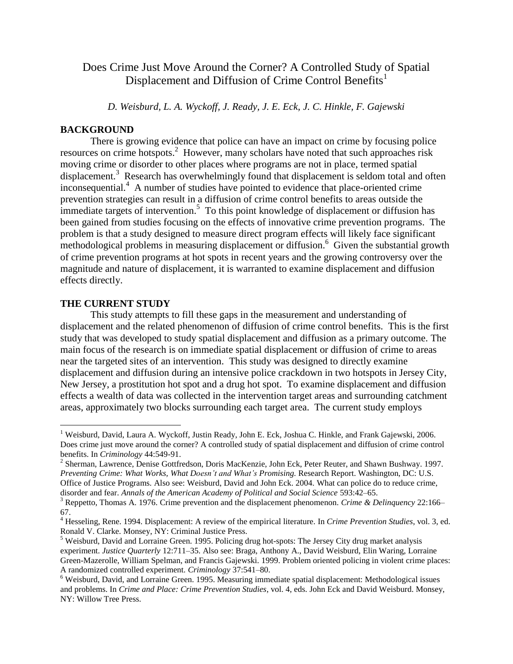## Does Crime Just Move Around the Corner? A Controlled Study of Spatial Displacement and Diffusion of Crime Control Benefits<sup>1</sup>

*D. Weisburd, L. A. Wyckoff, J. Ready, J. E. Eck, J. C. Hinkle, F. Gajewski* 

## **BACKGROUND**

There is growing evidence that police can have an impact on crime by focusing police resources on crime hotspots. <sup>2</sup> However, many scholars have noted that such approaches risk moving crime or disorder to other places where programs are not in place, termed spatial displacement.<sup>3</sup> Research has overwhelmingly found that displacement is seldom total and often inconsequential. 4 A number of studies have pointed to evidence that place-oriented crime prevention strategies can result in a diffusion of crime control benefits to areas outside the  $\frac{1}{2}$  immediate targets of intervention.<sup>5</sup> To this point knowledge of displacement or diffusion has been gained from studies focusing on the effects of innovative crime prevention programs. The problem is that a study designed to measure direct program effects will likely face significant methodological problems in measuring displacement or diffusion.<sup>6</sup> Given the substantial growth of crime prevention programs at hot spots in recent years and the growing controversy over the magnitude and nature of displacement, it is warranted to examine displacement and diffusion effects directly.

## **THE CURRENT STUDY**

 $\overline{a}$ 

This study attempts to fill these gaps in the measurement and understanding of displacement and the related phenomenon of diffusion of crime control benefits. This is the first study that was developed to study spatial displacement and diffusion as a primary outcome. The main focus of the research is on immediate spatial displacement or diffusion of crime to areas near the targeted sites of an intervention. This study was designed to directly examine displacement and diffusion during an intensive police crackdown in two hotspots in Jersey City, New Jersey, a prostitution hot spot and a drug hot spot. To examine displacement and diffusion effects a wealth of data was collected in the intervention target areas and surrounding catchment areas, approximately two blocks surrounding each target area. The current study employs

<sup>1</sup> Weisburd, David, Laura A. Wyckoff, Justin Ready, John E. Eck, Joshua C. Hinkle, and Frank Gajewski, 2006. Does crime just move around the corner? A controlled study of spatial displacement and diffusion of crime control benefits. In *Criminology* 44:549-91.

 $2$  Sherman, Lawrence, Denise Gottfredson, Doris MacKenzie, John Eck, Peter Reuter, and Shawn Bushway. 1997. *Preventing Crime: What Works, What Doesn't and What's Promising.* Research Report. Washington, DC: U.S. Office of Justice Programs. Also see: Weisburd, David and John Eck. 2004. What can police do to reduce crime, disorder and fear. *Annals of the American Academy of Political and Social Science* 593:42–65.

<sup>3</sup> Reppetto, Thomas A. 1976. Crime prevention and the displacement phenomenon. *Crime & Delinquency* 22:166– 67.

<sup>4</sup> Hesseling, Rene. 1994. Displacement: A review of the empirical literature. In *Crime Prevention Studies*, vol. 3, ed. Ronald V. Clarke. Monsey, NY: Criminal Justice Press.

<sup>&</sup>lt;sup>5</sup> Weisburd, David and Lorraine Green. 1995. Policing drug hot-spots: The Jersey City drug market analysis experiment. *Justice Quarterly* 12:711–35. Also see: Braga, Anthony A., David Weisburd, Elin Waring, Lorraine Green-Mazerolle, William Spelman, and Francis Gajewski. 1999. Problem oriented policing in violent crime places: A randomized controlled experiment. *Criminology* 37:541–80.

<sup>6</sup> Weisburd, David, and Lorraine Green. 1995. Measuring immediate spatial displacement: Methodological issues and problems. In *Crime and Place: Crime Prevention Studies*, vol. 4, eds. John Eck and David Weisburd. Monsey, NY: Willow Tree Press.